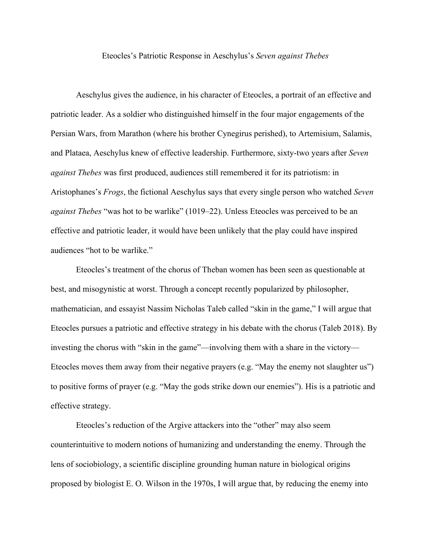## Eteocles's Patriotic Response in Aeschylus's *Seven against Thebes*

Aeschylus gives the audience, in his character of Eteocles, a portrait of an effective and patriotic leader. As a soldier who distinguished himself in the four major engagements of the Persian Wars, from Marathon (where his brother Cynegirus perished), to Artemisium, Salamis, and Plataea, Aeschylus knew of effective leadership. Furthermore, sixty-two years after *Seven against Thebes* was first produced, audiences still remembered it for its patriotism: in Aristophanes's *Frogs*, the fictional Aeschylus says that every single person who watched *Seven against Thebes* "was hot to be warlike" (1019–22). Unless Eteocles was perceived to be an effective and patriotic leader, it would have been unlikely that the play could have inspired audiences "hot to be warlike."

Eteocles's treatment of the chorus of Theban women has been seen as questionable at best, and misogynistic at worst. Through a concept recently popularized by philosopher, mathematician, and essayist Nassim Nicholas Taleb called "skin in the game," I will argue that Eteocles pursues a patriotic and effective strategy in his debate with the chorus (Taleb 2018). By investing the chorus with "skin in the game"—involving them with a share in the victory— Eteocles moves them away from their negative prayers (e.g. "May the enemy not slaughter us") to positive forms of prayer (e.g. "May the gods strike down our enemies"). His is a patriotic and effective strategy.

Eteocles's reduction of the Argive attackers into the "other" may also seem counterintuitive to modern notions of humanizing and understanding the enemy. Through the lens of sociobiology, a scientific discipline grounding human nature in biological origins proposed by biologist E. O. Wilson in the 1970s, I will argue that, by reducing the enemy into